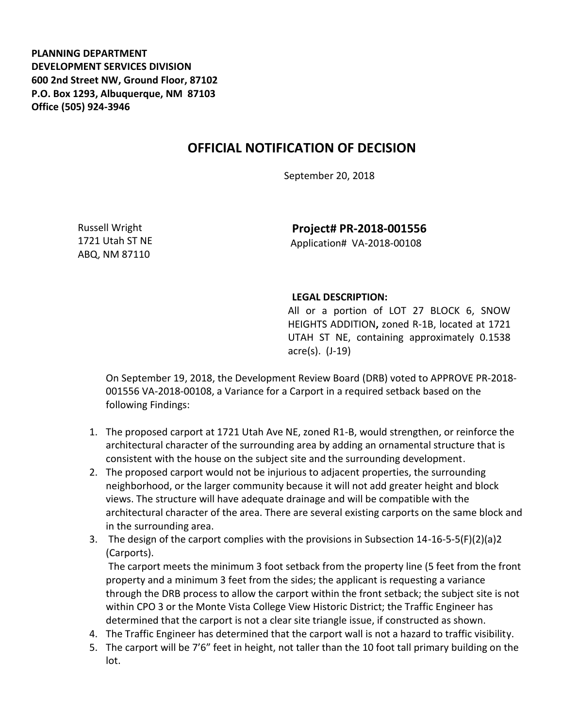**PLANNING DEPARTMENT DEVELOPMENT SERVICES DIVISION 600 2nd Street NW, Ground Floor, 87102 P.O. Box 1293, Albuquerque, NM 87103 Office (505) 924-3946** 

## **OFFICIAL NOTIFICATION OF DECISION**

September 20, 2018

Russell Wright 1721 Utah ST NE ABQ, NM 87110

**Project# PR-2018-001556** Application# VA-2018-00108

## **LEGAL DESCRIPTION:**

All or a portion of LOT 27 BLOCK 6, SNOW HEIGHTS ADDITION**,** zoned R-1B, located at 1721 UTAH ST NE, containing approximately 0.1538 acre(s). (J-19)

On September 19, 2018, the Development Review Board (DRB) voted to APPROVE PR-2018- 001556 VA-2018-00108, a Variance for a Carport in a required setback based on the following Findings:

- 1. The proposed carport at 1721 Utah Ave NE, zoned R1-B, would strengthen, or reinforce the architectural character of the surrounding area by adding an ornamental structure that is consistent with the house on the subject site and the surrounding development.
- 2. The proposed carport would not be injurious to adjacent properties, the surrounding neighborhood, or the larger community because it will not add greater height and block views. The structure will have adequate drainage and will be compatible with the architectural character of the area. There are several existing carports on the same block and in the surrounding area.
- 3. The design of the carport complies with the provisions in Subsection 14-16-5-5(F)(2)(a)2 (Carports).

The carport meets the minimum 3 foot setback from the property line (5 feet from the front property and a minimum 3 feet from the sides; the applicant is requesting a variance through the DRB process to allow the carport within the front setback; the subject site is not within CPO 3 or the Monte Vista College View Historic District; the Traffic Engineer has determined that the carport is not a clear site triangle issue, if constructed as shown.

- 4. The Traffic Engineer has determined that the carport wall is not a hazard to traffic visibility.
- 5. The carport will be 7'6" feet in height, not taller than the 10 foot tall primary building on the lot.